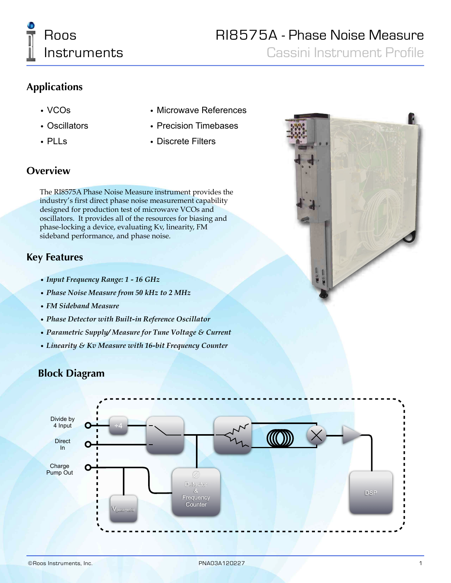

Cassini Instrument Profile

## **Applications**

- VCOs
- Oscillators
- PLLs
- Microwave References
- Precision Timebases
- Discrete Filters

## **Overview**

The RI8575A Phase Noise Measure instrument provides the industry's first direct phase noise measurement capability designed for production test of microwave VCOs and oscillators. It provides all of the resources for biasing and phase-locking a device, evaluating Kv, linearity, FM sideband performance, and phase noise.

### **Key Features**

- *• Input Frequency Range: 1 16 GHz*
- *• Phase Noise Measure from 50 kHz to 2 MHz*
- *• FM Sideband Measure*
- *• Phase Detector with Built-in Reference Oscillator*
- *• Parametric Supply/ Measure for Tune Voltage & Current*
- *• Linearity & Kv Measure with 16-bit Frequency Counter*

# **Block Diagram**